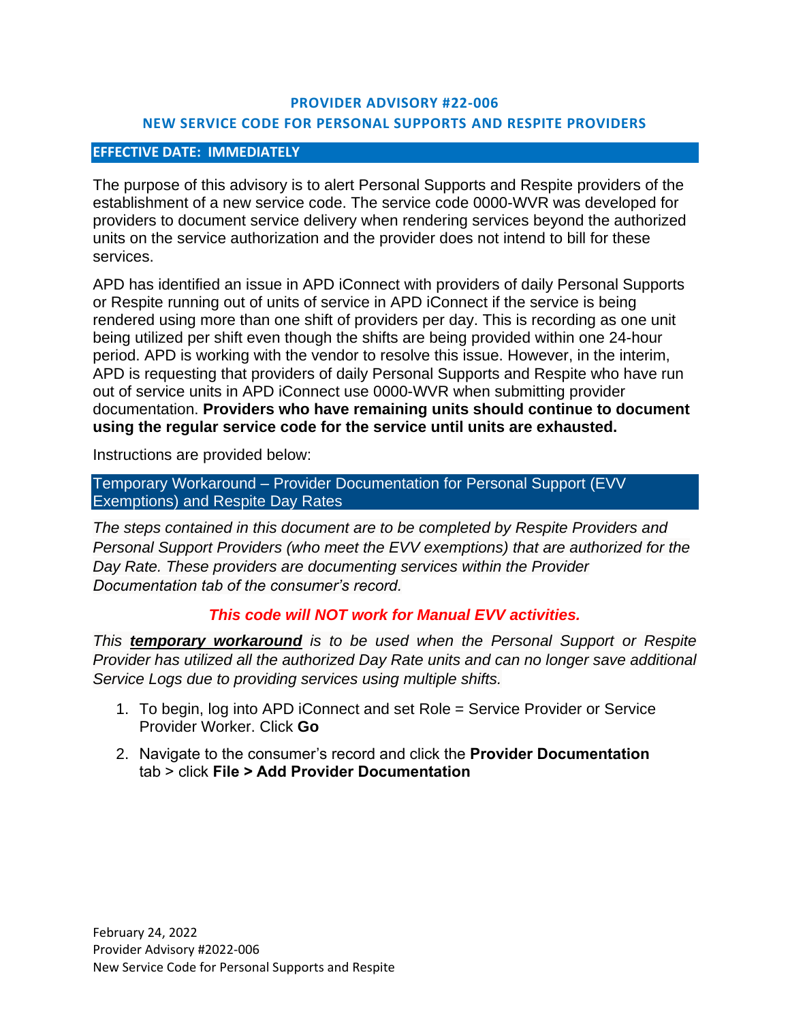## **PROVIDER ADVISORY #22-006 NEW SERVICE CODE FOR PERSONAL SUPPORTS AND RESPITE PROVIDERS**

## **EFFECTIVE DATE: IMMEDIATELY**

The purpose of this advisory is to alert Personal Supports and Respite providers of the establishment of a new service code. The service code 0000-WVR was developed for providers to document service delivery when rendering services beyond the authorized units on the service authorization and the provider does not intend to bill for these services.

APD has identified an issue in APD iConnect with providers of daily Personal Supports or Respite running out of units of service in APD iConnect if the service is being rendered using more than one shift of providers per day. This is recording as one unit being utilized per shift even though the shifts are being provided within one 24-hour period. APD is working with the vendor to resolve this issue. However, in the interim, APD is requesting that providers of daily Personal Supports and Respite who have run out of service units in APD iConnect use 0000-WVR when submitting provider documentation. **Providers who have remaining units should continue to document using the regular service code for the service until units are exhausted.** 

Instructions are provided below:

Temporary Workaround – Provider Documentation for Personal Support (EVV Exemptions) and Respite Day Rates

*The steps contained in this document are to be completed by Respite Providers and Personal Support Providers (who meet the EVV exemptions) that are authorized for the Day Rate. These providers are documenting services within the Provider Documentation tab of the consumer's record.*

## *This code will NOT work for Manual EVV activities.*

*This temporary workaround is to be used when the Personal Support or Respite Provider has utilized all the authorized Day Rate units and can no longer save additional Service Logs due to providing services using multiple shifts.* 

- 1. To begin, log into APD iConnect and set Role = Service Provider or Service Provider Worker. Click **Go**
- 2. Navigate to the consumer's record and click the **Provider Documentation** tab > click **File > Add Provider Documentation**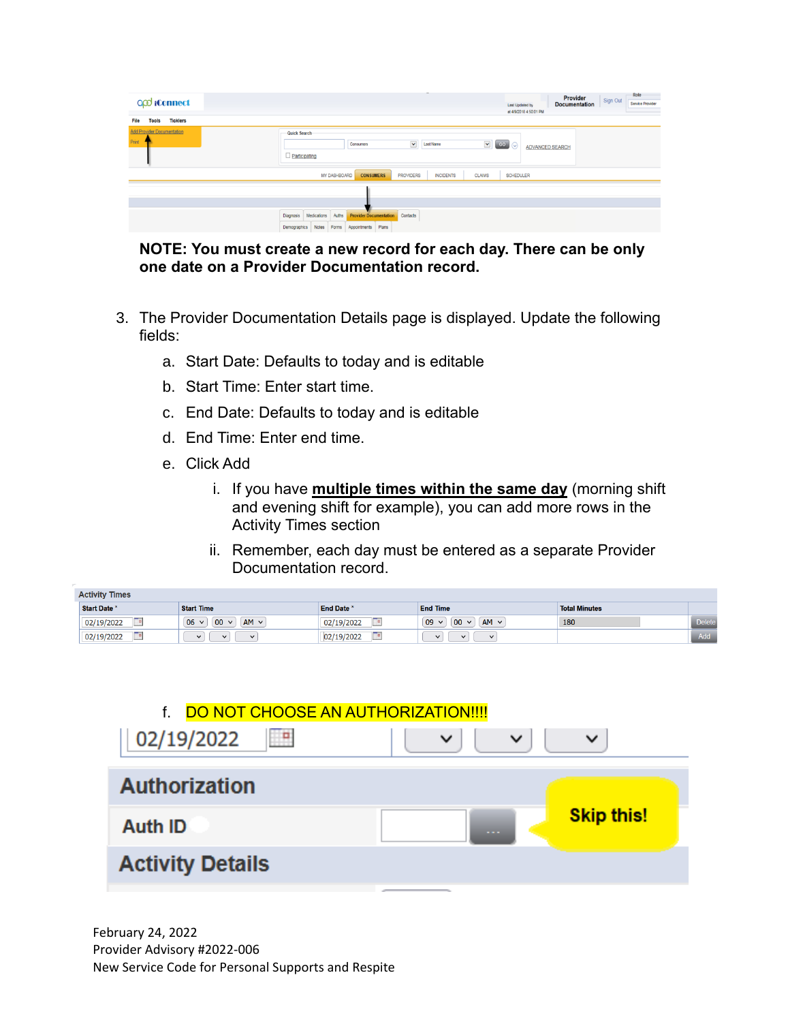| Q <sub>Q</sub> iConnect<br><b>Ticklers</b><br>File<br><b>Tools</b> | Role<br>Provider<br>Sign Out<br><b>Documentation</b><br>Service Provider<br>Last Updated by<br>at 4/9/2018 4:50:01 PM                                                                                                                                      |  |
|--------------------------------------------------------------------|------------------------------------------------------------------------------------------------------------------------------------------------------------------------------------------------------------------------------------------------------------|--|
| <b>Add Provider Documentation</b><br>Print                         | Quick Search<br>$\blacktriangledown$<br>$\blacktriangledown$<br>GO<br>$\odot$<br><b>Last Name</b><br>Consumers<br><b>ADVANCED SEARCH</b><br><b>Participating</b>                                                                                           |  |
|                                                                    | MY DASHBOARD<br><b>CONSUMERS</b><br><b>PROVIDERS</b><br><b>CLAIMS</b><br><b>INCIDENTS</b><br><b>SCHEDULER</b><br>Medications<br>Auths<br><b>Provider Documentation</b><br>Contacts<br>Diagnosis<br>Notes<br>Appointments<br>Plans<br>Forms<br>Demographics |  |

**NOTE: You must create a new record for each day. There can be only one date on a Provider Documentation record.**

- 3. The Provider Documentation Details page is displayed. Update the following fields:
	- a. Start Date: Defaults to today and is editable
	- b. Start Time: Enter start time.
	- c. End Date: Defaults to today and is editable
	- d. End Time: Enter end time.
	- e. Click Add
		- i. If you have **multiple times within the same day** (morning shift and evening shift for example), you can add more rows in the Activity Times section
		- ii. Remember, each day must be entered as a separate Provider Documentation record.

| <b>Activity Times</b> |                                     |                 |                                        |                      |               |  |  |  |  |  |  |
|-----------------------|-------------------------------------|-----------------|----------------------------------------|----------------------|---------------|--|--|--|--|--|--|
| Start Date *          | <b>Start Time</b>                   | <b>End Date</b> | <b>End Time</b>                        | <b>Total Minutes</b> |               |  |  |  |  |  |  |
| 02/19/2022            | 06<br>$AM \vee$<br>00<br>$\sqrt{ }$ | 02/19/2022      | $AM \vee$<br>09<br>00<br>$\checkmark$  | 180                  | <b>Delete</b> |  |  |  |  |  |  |
| 02/19/2022            | $\checkmark$<br>$\checkmark$<br>ິ   | 02/19/2022      | $\checkmark$<br>$\lambda$<br>$\lambda$ |                      | Add           |  |  |  |  |  |  |



February 24, 2022 Provider Advisory #2022-006 New Service Code for Personal Supports and Respite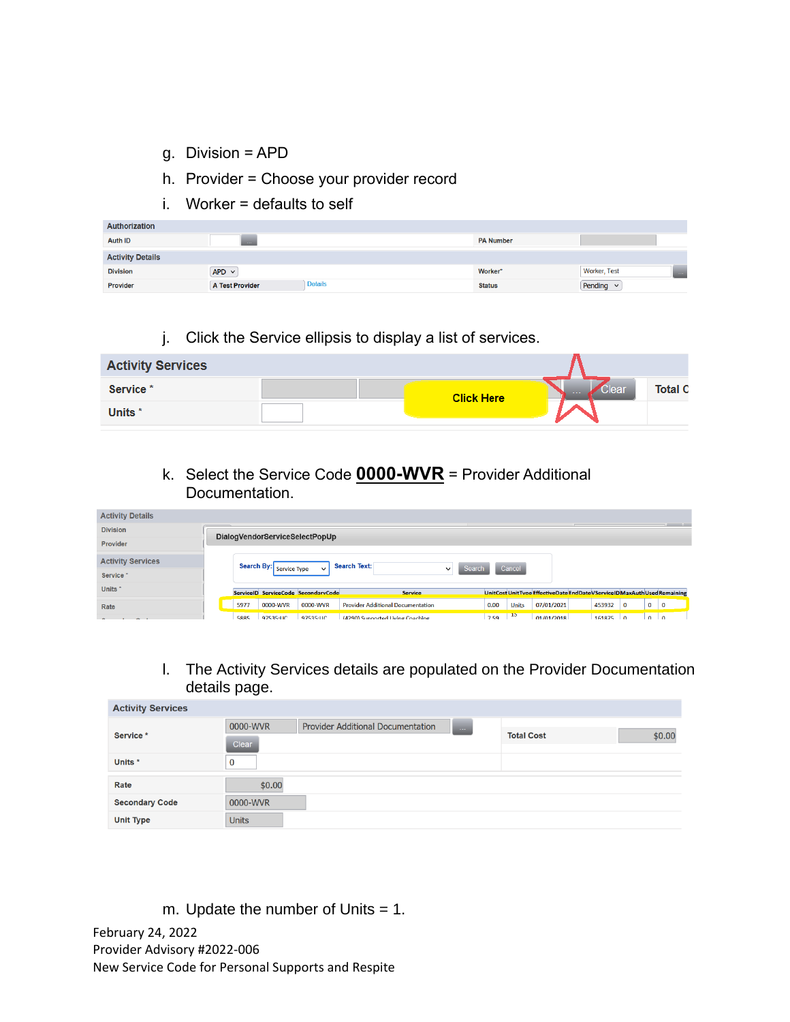- g. Division = APD
- h. Provider = Choose your provider record
- $i.$  Worker = defaults to self

| <b>Authorization</b>    |                                          |                  |                                   |
|-------------------------|------------------------------------------|------------------|-----------------------------------|
| <b>Auth ID</b>          | 1999                                     | <b>PA Number</b> |                                   |
| <b>Activity Details</b> |                                          |                  |                                   |
| <b>Division</b>         | $APD \vee$                               | Worker*          | Worker, Test<br><b>COLLECTION</b> |
| Provider                | <b>Details</b><br><b>A Test Provider</b> | <b>Status</b>    | Pending $\vee$                    |

j. Click the Service ellipsis to display a list of services.

| <b>Activity Services</b> |                   |                     |                |
|--------------------------|-------------------|---------------------|----------------|
| Service <sup>*</sup>     | <b>Click Here</b> | Clear<br>$\sim 100$ | <b>Total C</b> |
| Units <sup>*</sup>       |                   |                     |                |

k. Select the Service Code **0000-WVR** = Provider Additional Documentation.

| <b>Activity Details</b>  |                                                                |           |                                     |                                          |      |       |                                                                            |  |        |              |              |             |
|--------------------------|----------------------------------------------------------------|-----------|-------------------------------------|------------------------------------------|------|-------|----------------------------------------------------------------------------|--|--------|--------------|--------------|-------------|
| <b>Division</b>          | <b>STATE OF ALL PROPERTY</b><br>DialogVendorServiceSelectPopUp |           |                                     |                                          |      |       |                                                                            |  |        |              |              |             |
| Provider                 |                                                                |           |                                     |                                          |      |       |                                                                            |  |        |              |              |             |
| <b>Activity Services</b> | Search Text:<br>Search By: Service Type                        |           |                                     |                                          |      |       |                                                                            |  |        |              |              |             |
| Service <sup>*</sup>     | Cancel<br>Search<br>$\checkmark$<br>$\checkmark$               |           |                                     |                                          |      |       |                                                                            |  |        |              |              |             |
| Units <sup>*</sup>       |                                                                |           | ServiceID ServiceCode SecondaryCode | <b>Service</b>                           |      |       | UnitCost UnitTvpe EffectiveDate EndDate VService ID MaxAuth Used Remaining |  |        |              |              |             |
| Rate                     | 5977                                                           | 0000-WVR  | 0000-WVR                            | <b>Provider Additional Documentation</b> | 0.00 | Units | 07/01/2021                                                                 |  | 453932 | $\mathbf{0}$ | $\mathbf{0}$ | $\mathbf 0$ |
| $\sim$                   | 5885                                                           | 97535:110 | 97535-110                           | (4290) Supported Living Coaching         | 7.59 | 15    | 01/01/2018                                                                 |  | 161875 | $\Omega$     | $\Omega$     | $\Omega$    |

l. The Activity Services details are populated on the Provider Documentation details page.

| <b>Activity Services</b> |              |                                          |            |                   |        |
|--------------------------|--------------|------------------------------------------|------------|-------------------|--------|
|                          | 0000-WVR     | <b>Provider Additional Documentation</b> | $\sim 100$ |                   |        |
| Service *                | Clear        |                                          |            | <b>Total Cost</b> | \$0.00 |
| Units *                  |              |                                          |            |                   |        |
| Rate                     | \$0.00       |                                          |            |                   |        |
| <b>Secondary Code</b>    | 0000-WVR     |                                          |            |                   |        |
| <b>Unit Type</b>         | <b>Units</b> |                                          |            |                   |        |

m. Update the number of Units = 1.

February 24, 2022 Provider Advisory #2022-006 New Service Code for Personal Supports and Respite